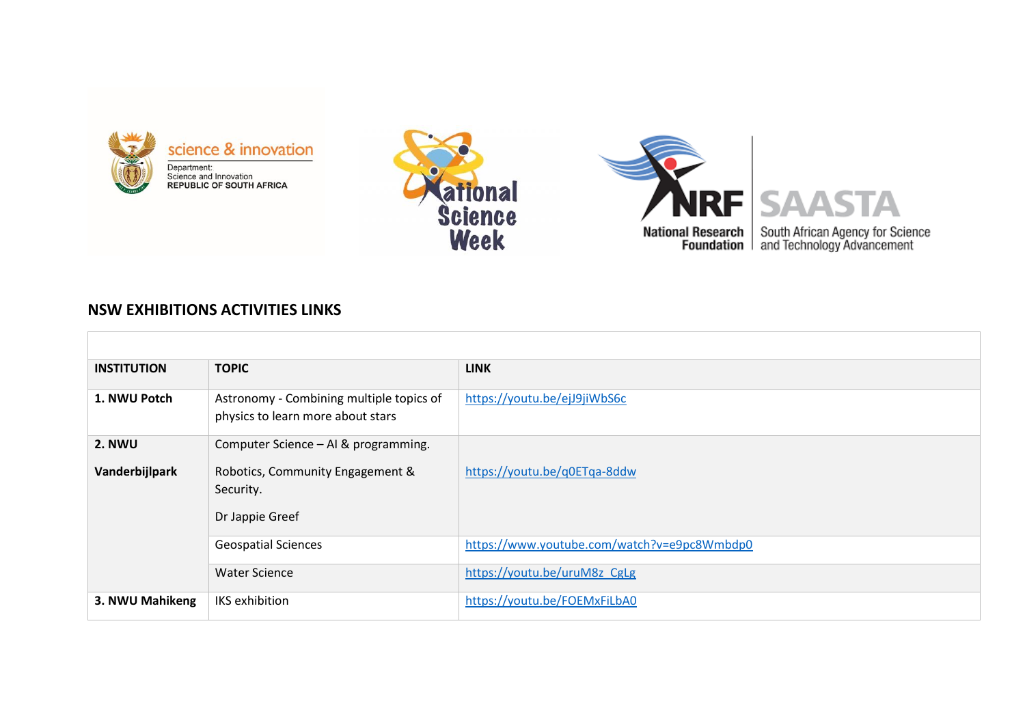





## **NSW EXHIBITIONS ACTIVITIES LINKS**

| <b>INSTITUTION</b> | <b>TOPIC</b>                                                                  | <b>LINK</b>                                 |
|--------------------|-------------------------------------------------------------------------------|---------------------------------------------|
| 1. NWU Potch       | Astronomy - Combining multiple topics of<br>physics to learn more about stars | https://youtu.be/ejJ9jiWbS6c                |
| 2. NWU             | Computer Science - AI & programming.                                          |                                             |
| Vanderbijlpark     | Robotics, Community Engagement &<br>Security.                                 | https://youtu.be/q0ETqa-8ddw                |
|                    | Dr Jappie Greef                                                               |                                             |
|                    | <b>Geospatial Sciences</b>                                                    | https://www.youtube.com/watch?v=e9pc8Wmbdp0 |
|                    | <b>Water Science</b>                                                          | https://youtu.be/uruM8z CgLg                |
| 3. NWU Mahikeng    | <b>IKS</b> exhibition                                                         | https://youtu.be/FOEMxFiLbA0                |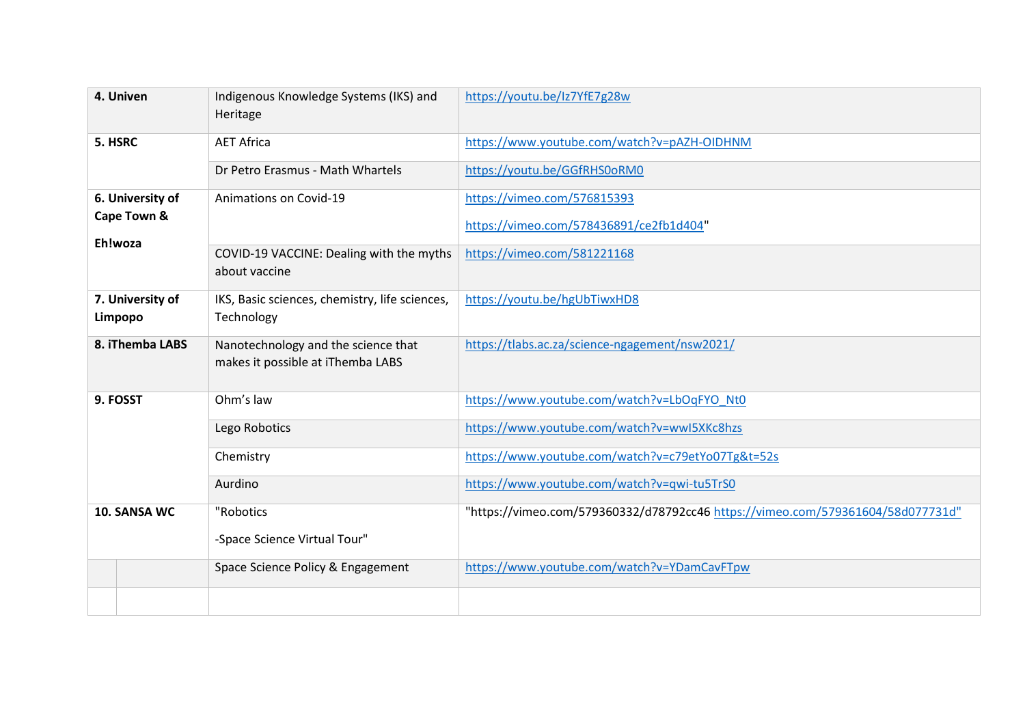| 4. Univen                   | Indigenous Knowledge Systems (IKS) and<br>Heritage                       | https://youtu.be/Iz7YfE7g28w                                                    |
|-----------------------------|--------------------------------------------------------------------------|---------------------------------------------------------------------------------|
| 5. HSRC                     | <b>AET Africa</b>                                                        | https://www.youtube.com/watch?v=pAZH-OIDHNM                                     |
|                             | Dr Petro Erasmus - Math Whartels                                         | https://youtu.be/GGfRHS0oRM0                                                    |
| 6. University of            | Animations on Covid-19                                                   | https://vimeo.com/576815393                                                     |
| Cape Town &                 |                                                                          | https://vimeo.com/578436891/ce2fb1d404"                                         |
| Eh!woza                     | COVID-19 VACCINE: Dealing with the myths<br>about vaccine                | https://vimeo.com/581221168                                                     |
| 7. University of<br>Limpopo | IKS, Basic sciences, chemistry, life sciences,<br>Technology             | https://youtu.be/hgUbTiwxHD8                                                    |
| 8. iThemba LABS             | Nanotechnology and the science that<br>makes it possible at iThemba LABS | https://tlabs.ac.za/science-ngagement/nsw2021/                                  |
| 9. FOSST                    | Ohm's law                                                                | https://www.youtube.com/watch?v=LbOqFYO Nt0                                     |
|                             | Lego Robotics                                                            | https://www.youtube.com/watch?v=wwI5XKc8hzs                                     |
|                             | Chemistry                                                                | https://www.youtube.com/watch?v=c79etYo07Tg&t=52s                               |
|                             | Aurdino                                                                  | https://www.youtube.com/watch?v=qwi-tu5TrS0                                     |
| 10. SANSA WC                | "Robotics                                                                | "https://vimeo.com/579360332/d78792cc46 https://vimeo.com/579361604/58d077731d" |
|                             | -Space Science Virtual Tour"                                             |                                                                                 |
|                             | Space Science Policy & Engagement                                        | https://www.youtube.com/watch?v=YDamCavFTpw                                     |
|                             |                                                                          |                                                                                 |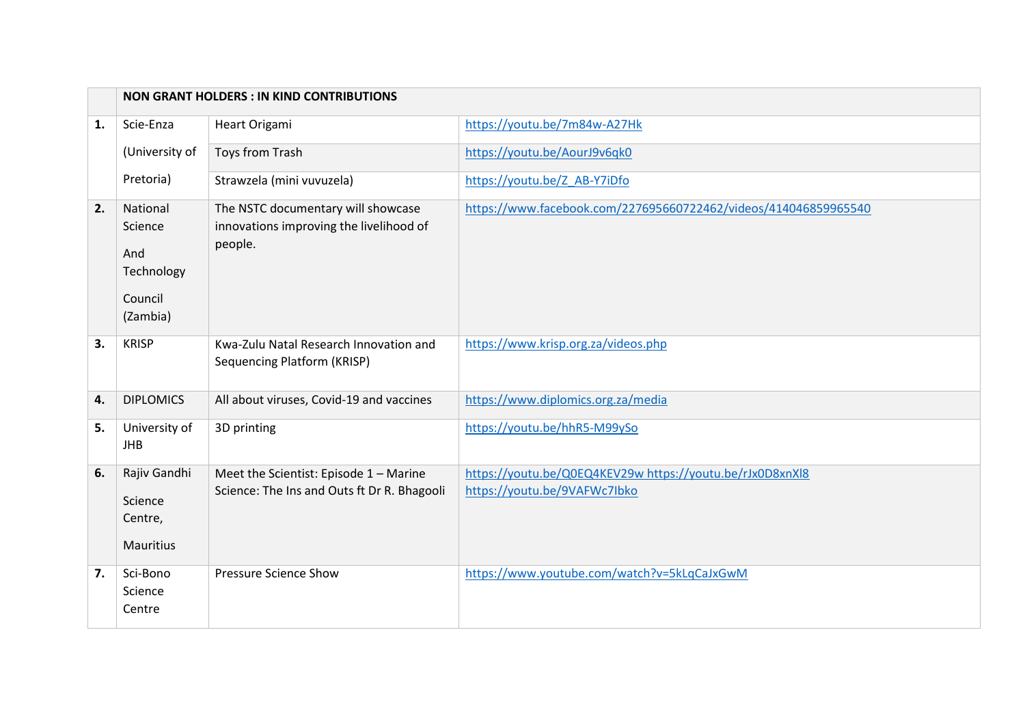|    | <b>NON GRANT HOLDERS : IN KIND CONTRIBUTIONS</b>                |                                                                                          |                                                                                           |
|----|-----------------------------------------------------------------|------------------------------------------------------------------------------------------|-------------------------------------------------------------------------------------------|
| 1. | Scie-Enza                                                       | Heart Origami                                                                            | https://youtu.be/7m84w-A27Hk                                                              |
|    | (University of                                                  | Toys from Trash                                                                          | https://youtu.be/AourJ9v6qk0                                                              |
|    | Pretoria)                                                       | Strawzela (mini vuvuzela)                                                                | https://youtu.be/Z AB-Y7iDfo                                                              |
| 2. | National<br>Science<br>And<br>Technology<br>Council<br>(Zambia) | The NSTC documentary will showcase<br>innovations improving the livelihood of<br>people. | https://www.facebook.com/227695660722462/videos/414046859965540                           |
| 3. | <b>KRISP</b>                                                    | Kwa-Zulu Natal Research Innovation and<br>Sequencing Platform (KRISP)                    | https://www.krisp.org.za/videos.php                                                       |
| 4. | <b>DIPLOMICS</b>                                                | All about viruses, Covid-19 and vaccines                                                 | https://www.diplomics.org.za/media                                                        |
| 5. | University of<br><b>JHB</b>                                     | 3D printing                                                                              | https://youtu.be/hhR5-M99ySo                                                              |
| 6. | Rajiv Gandhi<br>Science<br>Centre,<br>Mauritius                 | Meet the Scientist: Episode 1 - Marine<br>Science: The Ins and Outs ft Dr R. Bhagooli    | https://youtu.be/Q0EQ4KEV29w https://youtu.be/rJx0D8xnXl8<br>https://youtu.be/9VAFWc7lbko |
| 7. | Sci-Bono<br>Science<br>Centre                                   | <b>Pressure Science Show</b>                                                             | https://www.youtube.com/watch?v=5kLqCaJxGwM                                               |